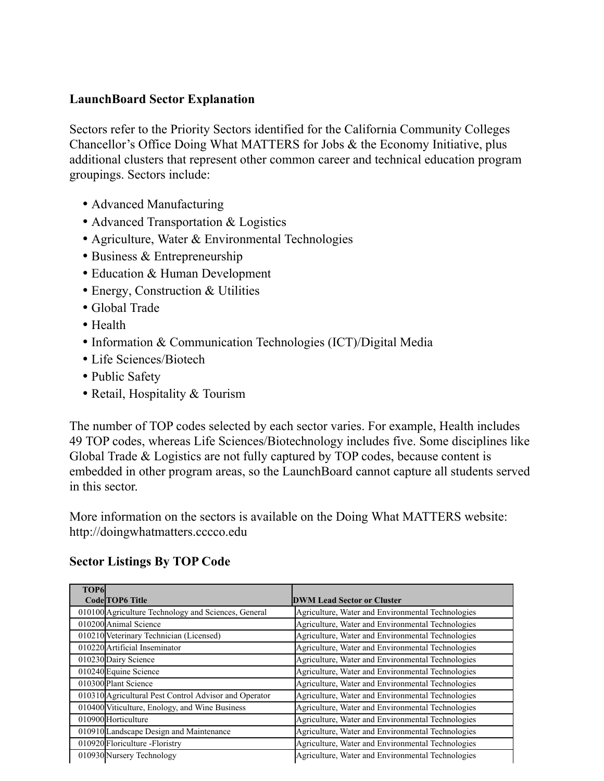## **LaunchBoard Sector Explanation**

Sectors refer to the Priority Sectors identified for the California Community Colleges Chancellor's Office Doing What MATTERS for Jobs & the Economy Initiative, plus additional clusters that represent other common career and technical education program groupings. Sectors include:

- Advanced Manufacturing
- Advanced Transportation & Logistics
- Agriculture, Water & Environmental Technologies
- Business & Entrepreneurship
- Education & Human Development
- Energy, Construction & Utilities
- Global Trade
- Health
- Information & Communication Technologies (ICT)/Digital Media
- Life Sciences/Biotech
- Public Safety
- Retail, Hospitality & Tourism

The number of TOP codes selected by each sector varies. For example, Health includes 49 TOP codes, whereas Life Sciences/Biotechnology includes five. Some disciplines like Global Trade & Logistics are not fully captured by TOP codes, because content is embedded in other program areas, so the LaunchBoard cannot capture all students served in this sector.

More information on the sectors is available on the Doing What MATTERS website: http://doingwhatmatters.cccco.edu

| TOP <sub>6</sub>                                      |                                                   |
|-------------------------------------------------------|---------------------------------------------------|
| <b>Code TOP6 Title</b>                                | <b>DWM Lead Sector or Cluster</b>                 |
| 010100 Agriculture Technology and Sciences, General   | Agriculture, Water and Environmental Technologies |
| 010200 Animal Science                                 | Agriculture, Water and Environmental Technologies |
| 010210 Veterinary Technician (Licensed)               | Agriculture, Water and Environmental Technologies |
| 010220 Artificial Inseminator                         | Agriculture, Water and Environmental Technologies |
| 010230 Dairy Science                                  | Agriculture, Water and Environmental Technologies |
| 010240 Equine Science                                 | Agriculture, Water and Environmental Technologies |
| 010300 Plant Science                                  | Agriculture, Water and Environmental Technologies |
| 010310 Agricultural Pest Control Advisor and Operator | Agriculture, Water and Environmental Technologies |
| 010400 Viticulture, Enology, and Wine Business        | Agriculture, Water and Environmental Technologies |
| 010900 Horticulture                                   | Agriculture, Water and Environmental Technologies |
| 010910 Landscape Design and Maintenance               | Agriculture, Water and Environmental Technologies |
| 010920 Floriculture -Floristry                        | Agriculture, Water and Environmental Technologies |
| 010930 Nursery Technology                             | Agriculture, Water and Environmental Technologies |

## **Sector Listings By TOP Code**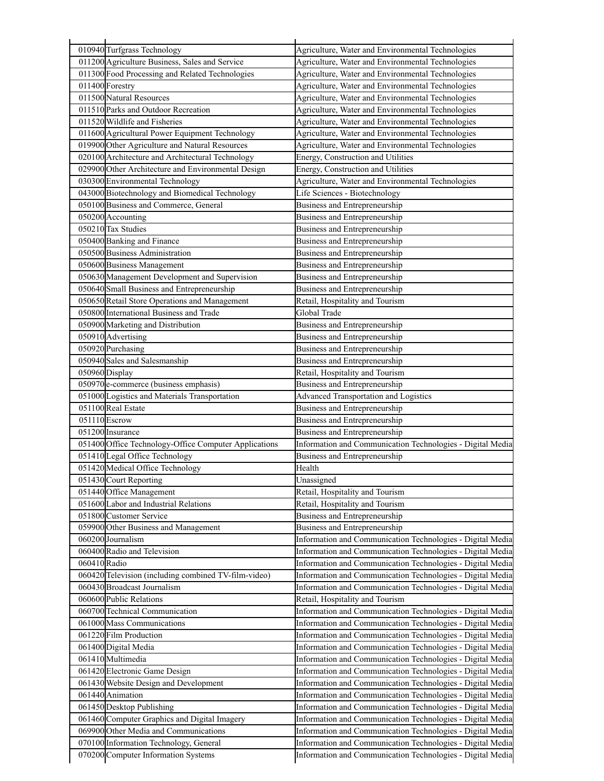| 010940 Turfgrass Technology                           | Agriculture, Water and Environmental Technologies          |
|-------------------------------------------------------|------------------------------------------------------------|
| 011200 Agriculture Business, Sales and Service        | Agriculture, Water and Environmental Technologies          |
| 011300 Food Processing and Related Technologies       | Agriculture, Water and Environmental Technologies          |
| 011400 Forestry                                       | Agriculture, Water and Environmental Technologies          |
| 011500 Natural Resources                              | Agriculture, Water and Environmental Technologies          |
| 011510 Parks and Outdoor Recreation                   | Agriculture, Water and Environmental Technologies          |
| 011520 Wildlife and Fisheries                         | Agriculture, Water and Environmental Technologies          |
| 011600 Agricultural Power Equipment Technology        | Agriculture, Water and Environmental Technologies          |
| 019900 Other Agriculture and Natural Resources        | Agriculture, Water and Environmental Technologies          |
| 020100 Architecture and Architectural Technology      | Energy, Construction and Utilities                         |
| 029900 Other Architecture and Environmental Design    | Energy, Construction and Utilities                         |
| 030300 Environmental Technology                       | Agriculture, Water and Environmental Technologies          |
| 043000 Biotechnology and Biomedical Technology        | Life Sciences - Biotechnology                              |
| 050100 Business and Commerce, General                 | Business and Entrepreneurship                              |
| 050200 Accounting                                     | <b>Business and Entrepreneurship</b>                       |
| 050210 Tax Studies                                    | <b>Business and Entrepreneurship</b>                       |
| 050400 Banking and Finance                            | Business and Entrepreneurship                              |
| 050500 Business Administration                        | <b>Business and Entrepreneurship</b>                       |
| 050600 Business Management                            | Business and Entrepreneurship                              |
| 050630 Management Development and Supervision         | <b>Business and Entrepreneurship</b>                       |
| 050640 Small Business and Entrepreneurship            | <b>Business and Entrepreneurship</b>                       |
| 050650 Retail Store Operations and Management         | Retail, Hospitality and Tourism                            |
| 050800 International Business and Trade               | Global Trade                                               |
| 050900 Marketing and Distribution                     | Business and Entrepreneurship                              |
| 050910 Advertising                                    | Business and Entrepreneurship                              |
| 050920 Purchasing                                     | Business and Entrepreneurship                              |
| 050940 Sales and Salesmanship                         | Business and Entrepreneurship                              |
| $050960$ Display                                      | Retail, Hospitality and Tourism                            |
| 050970le-commerce (business emphasis)                 | Business and Entrepreneurship                              |
| 051000 Logistics and Materials Transportation         | <b>Advanced Transportation and Logistics</b>               |
| 051100 Real Estate                                    | Business and Entrepreneurship                              |
| 051110 Escrow                                         | Business and Entrepreneurship                              |
| 051200 Insurance                                      | Business and Entrepreneurship                              |
| 051400 Office Technology-Office Computer Applications | Information and Communication Technologies - Digital Media |
| 051410 Legal Office Technology                        | Business and Entrepreneurship                              |
| 051420 Medical Office Technology                      | Health                                                     |
| 051430 Court Reporting                                | Unassigned                                                 |
| 051440 Office Management                              | Retail, Hospitality and Tourism                            |
| 051600 Labor and Industrial Relations                 | Retail, Hospitality and Tourism                            |
| 051800 Customer Service                               | Business and Entrepreneurship                              |
| 059900 Other Business and Management                  | Business and Entrepreneurship                              |
| 060200 Journalism                                     | Information and Communication Technologies - Digital Media |
| 060400 Radio and Television                           | Information and Communication Technologies - Digital Media |
| 060410 Radio                                          | Information and Communication Technologies - Digital Media |
| 060420 Television (including combined TV-film-video)  | Information and Communication Technologies - Digital Media |
| 060430 Broadcast Journalism                           | Information and Communication Technologies - Digital Media |
| 060600 Public Relations                               | Retail, Hospitality and Tourism                            |
| 060700 Technical Communication                        | Information and Communication Technologies - Digital Media |
| 061000 Mass Communications                            | Information and Communication Technologies - Digital Media |
| 061220 Film Production                                | Information and Communication Technologies - Digital Media |
| 061400 Digital Media                                  | Information and Communication Technologies - Digital Media |
| 061410 Multimedia                                     | Information and Communication Technologies - Digital Media |
| 061420 Electronic Game Design                         | Information and Communication Technologies - Digital Media |
| 061430 Website Design and Development                 | Information and Communication Technologies - Digital Media |
| 061440 Animation                                      | Information and Communication Technologies - Digital Media |
| 061450 Desktop Publishing                             | Information and Communication Technologies - Digital Media |
| 061460 Computer Graphics and Digital Imagery          | Information and Communication Technologies - Digital Media |
| 069900 Other Media and Communications                 | Information and Communication Technologies - Digital Media |
| 070100 Information Technology, General                | Information and Communication Technologies - Digital Media |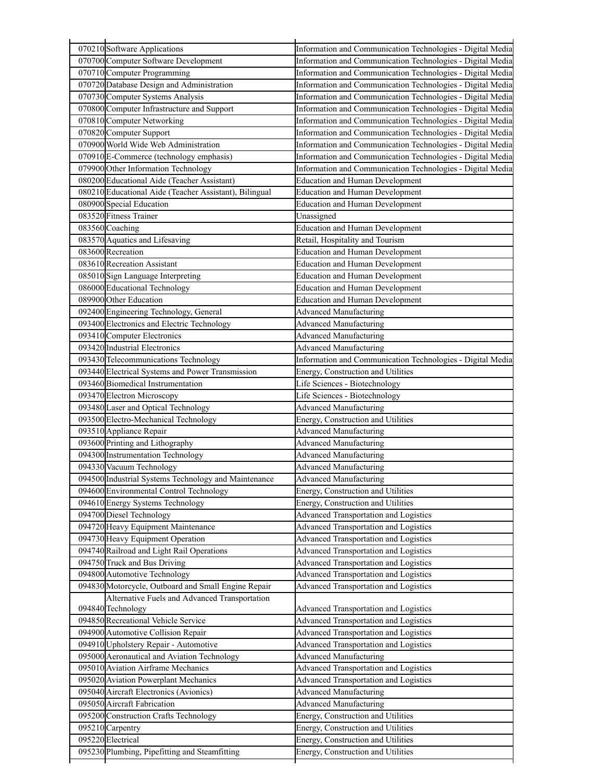| 070210 Software Applications                           | Information and Communication Technologies - Digital Media               |
|--------------------------------------------------------|--------------------------------------------------------------------------|
| 070700 Computer Software Development                   | Information and Communication Technologies - Digital Media               |
| 070710 Computer Programming                            | Information and Communication Technologies - Digital Media               |
| 070720 Database Design and Administration              | Information and Communication Technologies - Digital Media               |
| 070730 Computer Systems Analysis                       | Information and Communication Technologies - Digital Media               |
| 070800 Computer Infrastructure and Support             | Information and Communication Technologies - Digital Media               |
| 070810 Computer Networking                             | Information and Communication Technologies - Digital Media               |
| 070820 Computer Support                                | Information and Communication Technologies - Digital Media               |
| 070900 World Wide Web Administration                   | Information and Communication Technologies - Digital Media               |
| 070910 E-Commerce (technology emphasis)                | Information and Communication Technologies - Digital Media               |
| 079900 Other Information Technology                    | Information and Communication Technologies - Digital Media               |
| 080200 Educational Aide (Teacher Assistant)            | <b>Education and Human Development</b>                                   |
| 080210 Educational Aide (Teacher Assistant), Bilingual | <b>Education and Human Development</b>                                   |
| 080900 Special Education                               | <b>Education and Human Development</b>                                   |
| 083520 Fitness Trainer                                 | Unassigned                                                               |
| 083560 Coaching                                        | <b>Education and Human Development</b>                                   |
| 083570 Aquatics and Lifesaving                         | Retail, Hospitality and Tourism                                          |
| 083600 Recreation                                      | <b>Education and Human Development</b>                                   |
| 083610 Recreation Assistant                            | <b>Education and Human Development</b>                                   |
| 085010 Sign Language Interpreting                      | <b>Education and Human Development</b>                                   |
| 086000 Educational Technology                          | <b>Education and Human Development</b>                                   |
| 089900 Other Education                                 | <b>Education and Human Development</b>                                   |
| 092400 Engineering Technology, General                 | <b>Advanced Manufacturing</b>                                            |
| 093400 Electronics and Electric Technology             | <b>Advanced Manufacturing</b>                                            |
| 093410 Computer Electronics                            | <b>Advanced Manufacturing</b>                                            |
| 093420 Industrial Electronics                          | <b>Advanced Manufacturing</b>                                            |
| 093430 Telecommunications Technology                   | Information and Communication Technologies - Digital Media               |
| 093440 Electrical Systems and Power Transmission       | Energy, Construction and Utilities                                       |
| 093460 Biomedical Instrumentation                      | Life Sciences - Biotechnology                                            |
| 093470 Electron Microscopy                             | Life Sciences - Biotechnology                                            |
| 093480 Laser and Optical Technology                    | <b>Advanced Manufacturing</b>                                            |
| 093500 Electro-Mechanical Technology                   | Energy, Construction and Utilities                                       |
| 093510 Appliance Repair                                | <b>Advanced Manufacturing</b>                                            |
| 093600 Printing and Lithography                        | <b>Advanced Manufacturing</b>                                            |
| 094300 Instrumentation Technology                      | <b>Advanced Manufacturing</b>                                            |
| 094330 Vacuum Technology                               | <b>Advanced Manufacturing</b>                                            |
| 094500 Industrial Systems Technology and Maintenance   | <b>Advanced Manufacturing</b>                                            |
| 094600 Environmental Control Technology                | Energy, Construction and Utilities                                       |
| 094610 Energy Systems Technology                       | Energy, Construction and Utilities                                       |
| 094700 Diesel Technology                               | Advanced Transportation and Logistics                                    |
| 094720 Heavy Equipment Maintenance                     | <b>Advanced Transportation and Logistics</b>                             |
| 094730 Heavy Equipment Operation                       | <b>Advanced Transportation and Logistics</b>                             |
| 094740 Railroad and Light Rail Operations              | <b>Advanced Transportation and Logistics</b>                             |
| 094750 Truck and Bus Driving                           | Advanced Transportation and Logistics                                    |
| 094800 Automotive Technology                           | <b>Advanced Transportation and Logistics</b>                             |
| 094830 Motorcycle, Outboard and Small Engine Repair    | <b>Advanced Transportation and Logistics</b>                             |
| Alternative Fuels and Advanced Transportation          |                                                                          |
| 094840 Technology                                      | Advanced Transportation and Logistics                                    |
| 094850 Recreational Vehicle Service                    | <b>Advanced Transportation and Logistics</b>                             |
| 094900 Automotive Collision Repair                     | <b>Advanced Transportation and Logistics</b>                             |
| 094910 Upholstery Repair - Automotive                  | Advanced Transportation and Logistics                                    |
| 095000 Aeronautical and Aviation Technology            | <b>Advanced Manufacturing</b>                                            |
| 095010 Aviation Airframe Mechanics                     | <b>Advanced Transportation and Logistics</b>                             |
| 095020 Aviation Powerplant Mechanics                   | <b>Advanced Transportation and Logistics</b>                             |
| 095040 Aircraft Electronics (Avionics)                 | <b>Advanced Manufacturing</b>                                            |
| 095050 Aircraft Fabrication                            | <b>Advanced Manufacturing</b>                                            |
| 095200 Construction Crafts Technology                  |                                                                          |
|                                                        |                                                                          |
| 095210 Carpentry                                       | Energy, Construction and Utilities                                       |
| 095220 Electrical                                      | Energy, Construction and Utilities<br>Energy, Construction and Utilities |

Г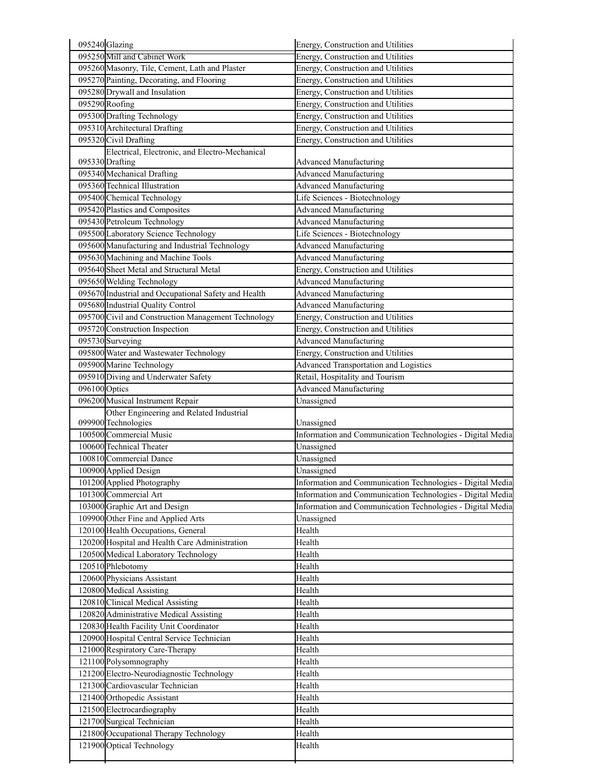|               | 095240 Glazing                                                           | Energy, Construction and Utilities                                                                                       |  |
|---------------|--------------------------------------------------------------------------|--------------------------------------------------------------------------------------------------------------------------|--|
|               | 095250 Mill and Cabinet Work                                             | Energy, Construction and Utilities                                                                                       |  |
|               | 095260 Masonry, Tile, Cement, Lath and Plaster                           | Energy, Construction and Utilities                                                                                       |  |
|               | 095270 Painting, Decorating, and Flooring                                | Energy, Construction and Utilities                                                                                       |  |
|               | 095280 Drywall and Insulation                                            | Energy, Construction and Utilities                                                                                       |  |
|               | 095290 Roofing                                                           | Energy, Construction and Utilities                                                                                       |  |
|               | 095300 Drafting Technology                                               | Energy, Construction and Utilities                                                                                       |  |
|               | 095310 Architectural Drafting                                            | Energy, Construction and Utilities                                                                                       |  |
|               | 095320 Civil Drafting                                                    | Energy, Construction and Utilities                                                                                       |  |
|               | Electrical, Electronic, and Electro-Mechanical                           |                                                                                                                          |  |
|               | 095330 Drafting                                                          | <b>Advanced Manufacturing</b>                                                                                            |  |
|               | 095340 Mechanical Drafting                                               | <b>Advanced Manufacturing</b>                                                                                            |  |
|               | 095360 Technical Illustration                                            | <b>Advanced Manufacturing</b>                                                                                            |  |
|               | 095400 Chemical Technology                                               | Life Sciences - Biotechnology                                                                                            |  |
|               | 095420 Plastics and Composites                                           | <b>Advanced Manufacturing</b>                                                                                            |  |
|               | 095430 Petroleum Technology                                              | <b>Advanced Manufacturing</b>                                                                                            |  |
|               | 095500 Laboratory Science Technology                                     | Life Sciences - Biotechnology                                                                                            |  |
|               | 095600 Manufacturing and Industrial Technology                           | <b>Advanced Manufacturing</b>                                                                                            |  |
|               | 095630 Machining and Machine Tools                                       | <b>Advanced Manufacturing</b>                                                                                            |  |
|               | 095640 Sheet Metal and Structural Metal                                  | Energy, Construction and Utilities                                                                                       |  |
|               | 095650 Welding Technology                                                | <b>Advanced Manufacturing</b>                                                                                            |  |
|               | 095670 Industrial and Occupational Safety and Health                     | <b>Advanced Manufacturing</b>                                                                                            |  |
|               | 095680 Industrial Quality Control                                        | <b>Advanced Manufacturing</b>                                                                                            |  |
|               | 095700 Civil and Construction Management Technology                      | Energy, Construction and Utilities                                                                                       |  |
|               | 095720 Construction Inspection                                           | Energy, Construction and Utilities                                                                                       |  |
|               | 095730 Surveying                                                         | <b>Advanced Manufacturing</b>                                                                                            |  |
|               | 095800 Water and Wastewater Technology                                   | Energy, Construction and Utilities                                                                                       |  |
|               | 095900 Marine Technology                                                 | Advanced Transportation and Logistics                                                                                    |  |
|               | 095910 Diving and Underwater Safety                                      | Retail, Hospitality and Tourism                                                                                          |  |
| 096100 Optics |                                                                          | Advanced Manufacturing                                                                                                   |  |
|               |                                                                          |                                                                                                                          |  |
|               | 096200 Musical Instrument Repair                                         | Unassigned                                                                                                               |  |
|               | Other Engineering and Related Industrial                                 |                                                                                                                          |  |
|               | 099900 Technologies                                                      | Unassigned                                                                                                               |  |
|               | 100500 Commercial Music                                                  | Information and Communication Technologies - Digital Media                                                               |  |
|               | 100600 Technical Theater                                                 | Unassigned                                                                                                               |  |
|               | 100810 Commercial Dance                                                  | Unassigned                                                                                                               |  |
|               | 100900 Applied Design                                                    | Unassigned                                                                                                               |  |
|               | 101200 Applied Photography                                               |                                                                                                                          |  |
|               | 101300 Commercial Art                                                    | Information and Communication Technologies - Digital Media<br>Information and Communication Technologies - Digital Media |  |
|               | 103000 Graphic Art and Design                                            | Information and Communication Technologies - Digital Media                                                               |  |
|               | 109900 Other Fine and Applied Arts<br>120100 Health Occupations, General | Unassigned<br>Health                                                                                                     |  |
|               | 120200 Hospital and Health Care Administration                           | Health                                                                                                                   |  |
|               | 120500 Medical Laboratory Technology                                     | Health                                                                                                                   |  |
|               | 120510 Phlebotomy                                                        | Health                                                                                                                   |  |
|               | 120600 Physicians Assistant                                              | Health                                                                                                                   |  |
|               | 120800 Medical Assisting                                                 | Health                                                                                                                   |  |
|               | 120810 Clinical Medical Assisting                                        | Health                                                                                                                   |  |
|               | 120820 Administrative Medical Assisting                                  | Health                                                                                                                   |  |
|               | 120830 Health Facility Unit Coordinator                                  | Health                                                                                                                   |  |
|               | 120900 Hospital Central Service Technician                               | Health                                                                                                                   |  |
|               | 121000 Respiratory Care-Therapy                                          | Health                                                                                                                   |  |
|               | 121100 Polysomnography                                                   | Health                                                                                                                   |  |
|               | 121200 Electro-Neurodiagnostic Technology                                | Health                                                                                                                   |  |
|               | 121300 Cardiovascular Technician                                         | Health                                                                                                                   |  |
|               | 121400 Orthopedic Assistant                                              | Health                                                                                                                   |  |
|               | 121500 Electrocardiography                                               | Health                                                                                                                   |  |
|               | 121700 Surgical Technician                                               | Health                                                                                                                   |  |
|               | 121800 Occupational Therapy Technology<br>121900 Optical Technology      | Health<br>Health                                                                                                         |  |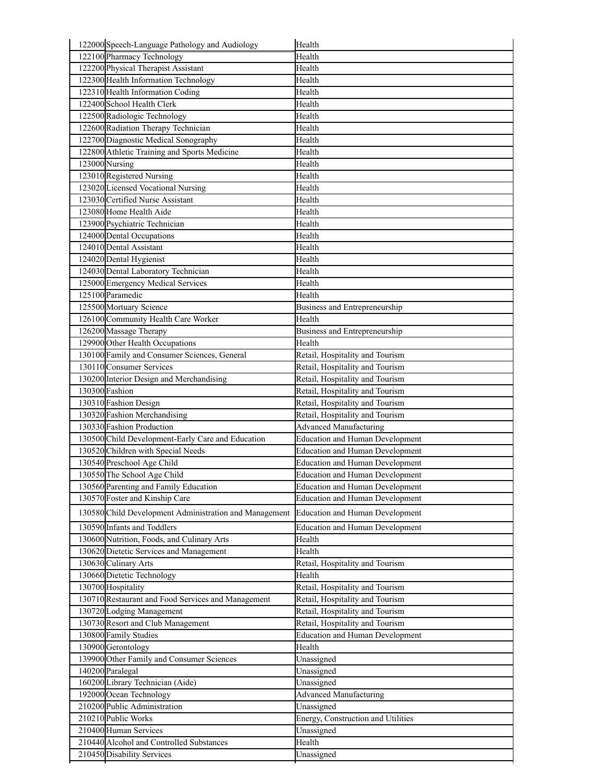| 122000 Speech-Language Pathology and Audiology         | Health                                           |  |
|--------------------------------------------------------|--------------------------------------------------|--|
| 122100 Pharmacy Technology                             | Health                                           |  |
| 122200 Physical Therapist Assistant                    | Health                                           |  |
| 122300 Health Information Technology                   | Health                                           |  |
| 122310 Health Information Coding                       | Health                                           |  |
| 122400 School Health Clerk                             | Health                                           |  |
| 122500 Radiologic Technology                           | Health                                           |  |
| 122600 Radiation Therapy Technician                    | Health                                           |  |
| 122700 Diagnostic Medical Sonography                   | Health                                           |  |
| 122800 Athletic Training and Sports Medicine           | Health                                           |  |
| 123000 Nursing                                         | Health                                           |  |
| 123010 Registered Nursing                              | Health                                           |  |
| 123020 Licensed Vocational Nursing                     | Health                                           |  |
| 123030 Certified Nurse Assistant                       | Health                                           |  |
| 123080 Home Health Aide                                | Health                                           |  |
| 123900 Psychiatric Technician                          | Health                                           |  |
| 124000 Dental Occupations                              | Health                                           |  |
| 124010 Dental Assistant                                | Health                                           |  |
| 124020 Dental Hygienist                                | Health                                           |  |
| 124030 Dental Laboratory Technician                    | Health                                           |  |
| 125000 Emergency Medical Services                      | Health                                           |  |
| 125100 Paramedic                                       | Health                                           |  |
| 125500 Mortuary Science                                | <b>Business and Entrepreneurship</b>             |  |
| 126100 Community Health Care Worker                    | Health                                           |  |
| 126200 Massage Therapy                                 | Business and Entrepreneurship                    |  |
| 129900 Other Health Occupations                        | Health                                           |  |
| 130100 Family and Consumer Sciences, General           | Retail, Hospitality and Tourism                  |  |
| 130110 Consumer Services                               | Retail, Hospitality and Tourism                  |  |
| 130200 Interior Design and Merchandising               | Retail, Hospitality and Tourism                  |  |
| 130300 Fashion                                         | Retail, Hospitality and Tourism                  |  |
| 130310 Fashion Design                                  | Retail, Hospitality and Tourism                  |  |
| 130320 Fashion Merchandising                           | Retail, Hospitality and Tourism                  |  |
| 130330 Fashion Production                              | <b>Advanced Manufacturing</b>                    |  |
| 130500 Child Development-Early Care and Education      | <b>Education and Human Development</b>           |  |
| 130520 Children with Special Needs                     | <b>Education and Human Development</b>           |  |
| 130540 Preschool Age Child                             | <b>Education and Human Development</b>           |  |
| 130550 The School Age Child                            | <b>Education and Human Development</b>           |  |
| 130560 Parenting and Family Education                  | <b>Education and Human Development</b>           |  |
| 130570 Foster and Kinship Care                         | <b>Education and Human Development</b>           |  |
| 130580 Child Development Administration and Management | <b>Education and Human Development</b>           |  |
| 130590 Infants and Toddlers                            | <b>Education and Human Development</b>           |  |
| 130600 Nutrition, Foods, and Culinary Arts             | Health                                           |  |
| 130620 Dietetic Services and Management                | Health                                           |  |
| 130630 Culinary Arts                                   | Retail, Hospitality and Tourism                  |  |
| 130660 Dietetic Technology                             | Health                                           |  |
| 130700 Hospitality                                     | Retail, Hospitality and Tourism                  |  |
| 130710 Restaurant and Food Services and Management     | Retail, Hospitality and Tourism                  |  |
| 130720 Lodging Management                              | Retail, Hospitality and Tourism                  |  |
| 130730 Resort and Club Management                      | Retail, Hospitality and Tourism                  |  |
| 130800 Family Studies                                  | <b>Education and Human Development</b>           |  |
| 130900 Gerontology                                     | Health                                           |  |
| 139900 Other Family and Consumer Sciences              | Unassigned                                       |  |
| 140200 Paralegal                                       | Unassigned                                       |  |
| 160200 Library Technician (Aide)                       | Unassigned                                       |  |
| 192000 Ocean Technology                                | Advanced Manufacturing                           |  |
| 210200 Public Administration                           | Unassigned                                       |  |
| 210210 Public Works<br>210400 Human Services           | Energy, Construction and Utilities<br>Unassigned |  |
| 210440 Alcohol and Controlled Substances               | Health                                           |  |
| 210450 Disability Services                             | Unassigned                                       |  |
|                                                        |                                                  |  |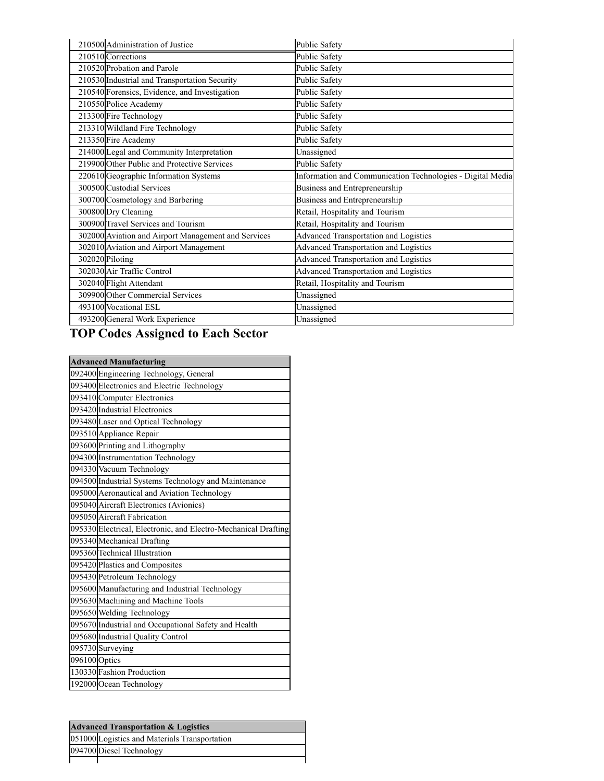| 210500 Administration of Justice                    | <b>Public Safety</b>                                       |
|-----------------------------------------------------|------------------------------------------------------------|
| 210510 Corrections                                  | <b>Public Safety</b>                                       |
| 210520 Probation and Parole                         | Public Safety                                              |
| 210530 Industrial and Transportation Security       | Public Safety                                              |
| 210540 Forensics, Evidence, and Investigation       | <b>Public Safety</b>                                       |
| 210550 Police Academy                               | <b>Public Safety</b>                                       |
| 213300 Fire Technology                              | <b>Public Safety</b>                                       |
| 213310 Wildland Fire Technology                     | <b>Public Safety</b>                                       |
| 213350 Fire Academy                                 | <b>Public Safety</b>                                       |
| 214000 Legal and Community Interpretation           | Unassigned                                                 |
| 219900 Other Public and Protective Services         | Public Safety                                              |
| 220610 Geographic Information Systems               | Information and Communication Technologies - Digital Media |
| 300500 Custodial Services                           | Business and Entrepreneurship                              |
| 300700 Cosmetology and Barbering                    | Business and Entrepreneurship                              |
| 300800 Dry Cleaning                                 | Retail, Hospitality and Tourism                            |
| 300900 Travel Services and Tourism                  | Retail, Hospitality and Tourism                            |
| 302000 Aviation and Airport Management and Services | <b>Advanced Transportation and Logistics</b>               |
| 302010 Aviation and Airport Management              | <b>Advanced Transportation and Logistics</b>               |
| 302020 Piloting                                     | <b>Advanced Transportation and Logistics</b>               |
| 302030 Air Traffic Control                          | <b>Advanced Transportation and Logistics</b>               |
| 302040 Flight Attendant                             | Retail, Hospitality and Tourism                            |
| 309900 Other Commercial Services                    | Unassigned                                                 |
| 493100 Vocational ESL                               | Unassigned                                                 |
| 493200 General Work Experience                      | Unassigned                                                 |

## **TOP Codes Assigned to Each Sector**

| <b>Advanced Manufacturing</b> |                                                                |
|-------------------------------|----------------------------------------------------------------|
|                               | 092400 Engineering Technology, General                         |
|                               | 093400 Electronics and Electric Technology                     |
|                               | 093410 Computer Electronics                                    |
|                               | 093420 Industrial Electronics                                  |
|                               | 093480 Laser and Optical Technology                            |
|                               | 093510 Appliance Repair                                        |
|                               | 093600 Printing and Lithography                                |
|                               | 094300 Instrumentation Technology                              |
|                               | 094330 Vacuum Technology                                       |
|                               | 094500 Industrial Systems Technology and Maintenance           |
|                               | 095000 Aeronautical and Aviation Technology                    |
|                               | 095040 Aircraft Electronics (Avionics)                         |
|                               | 095050 Aircraft Fabrication                                    |
|                               | 095330 Electrical, Electronic, and Electro-Mechanical Drafting |
|                               | 095340 Mechanical Drafting                                     |
|                               | 095360 Technical Illustration                                  |
|                               | 095420 Plastics and Composites                                 |
|                               | 095430 Petroleum Technology                                    |
|                               | 095600 Manufacturing and Industrial Technology                 |
|                               | 095630 Machining and Machine Tools                             |
|                               | 095650 Welding Technology                                      |
|                               | 095670 Industrial and Occupational Safety and Health           |
|                               | 095680 Industrial Quality Control                              |
|                               | 095730 Surveying                                               |
| 096100 Optics                 |                                                                |
|                               | 130330 Fashion Production                                      |
|                               | 192000 Ocean Technology                                        |

| <b>Advanced Transportation &amp; Logistics</b> |
|------------------------------------------------|
| 051000 Logistics and Materials Transportation  |
| 094700 Diesel Technology                       |
|                                                |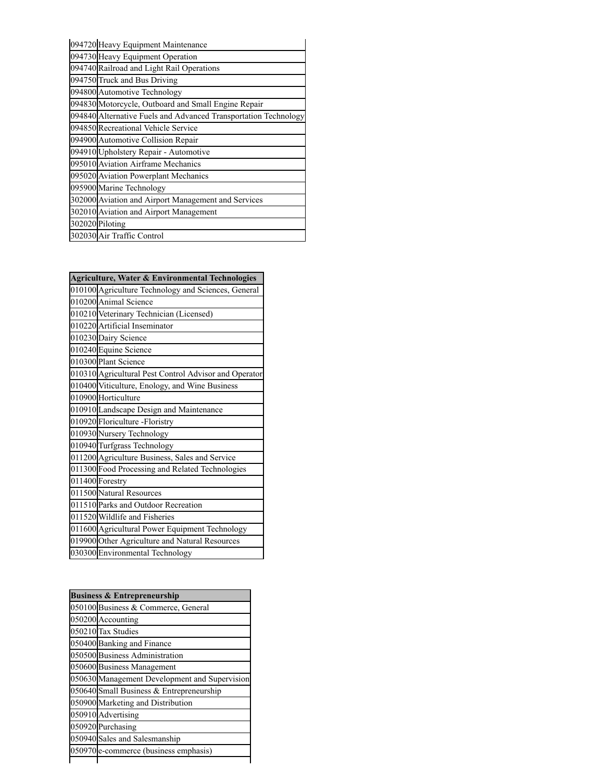| 094720 Heavy Equipment Maintenance                              |
|-----------------------------------------------------------------|
| 094730 Heavy Equipment Operation                                |
| 094740 Railroad and Light Rail Operations                       |
| 094750 Truck and Bus Driving                                    |
| 094800 Automotive Technology                                    |
| 094830 Motorcycle, Outboard and Small Engine Repair             |
| 094840 Alternative Fuels and Advanced Transportation Technology |
| 094850 Recreational Vehicle Service                             |
| 094900 Automotive Collision Repair                              |
| 094910 Upholstery Repair - Automotive                           |
| 095010 Aviation Airframe Mechanics                              |
| 095020 Aviation Powerplant Mechanics                            |
| 095900 Marine Technology                                        |
| 302000 Aviation and Airport Management and Services             |
| 302010 Aviation and Airport Management                          |
| 302020 Piloting                                                 |
| 302030 Air Traffic Control                                      |

| Agriculture, Water & Environmental Technologies       |
|-------------------------------------------------------|
| 010100 Agriculture Technology and Sciences, General   |
| 010200 Animal Science                                 |
| 010210 Veterinary Technician (Licensed)               |
| 010220 Artificial Inseminator                         |
| 010230 Dairy Science                                  |
| 010240 Equine Science                                 |
| 010300 Plant Science                                  |
| 010310 Agricultural Pest Control Advisor and Operator |
| 010400 Viticulture, Enology, and Wine Business        |
| 010900 Horticulture                                   |
| 010910 Landscape Design and Maintenance               |
| 010920 Floriculture -Floristry                        |
| 010930 Nursery Technology                             |
| 010940 Turfgrass Technology                           |
| 011200 Agriculture Business, Sales and Service        |
| 011300 Food Processing and Related Technologies       |
| 011400 Forestry                                       |
| 011500 Natural Resources                              |
| 011510 Parks and Outdoor Recreation                   |
| 011520 Wildlife and Fisheries                         |
| 011600 Agricultural Power Equipment Technology        |
| 019900 Other Agriculture and Natural Resources        |
| 030300 Environmental Technology                       |

| <b>Business &amp; Entrepreneurship</b> |                                               |
|----------------------------------------|-----------------------------------------------|
|                                        | 050100 Business & Commerce, General           |
|                                        | 050200 Accounting                             |
|                                        | 050210 Tax Studies                            |
|                                        | 050400 Banking and Finance                    |
|                                        | 050500 Business Administration                |
|                                        | 050600 Business Management                    |
|                                        | 050630 Management Development and Supervision |
|                                        | 050640 Small Business & Entrepreneurship      |
|                                        | 050900 Marketing and Distribution             |
|                                        | 050910 Advertising                            |
|                                        | 050920 Purchasing                             |
|                                        | 050940 Sales and Salesmanship                 |
|                                        | 050970 e-commerce (business emphasis)         |
|                                        |                                               |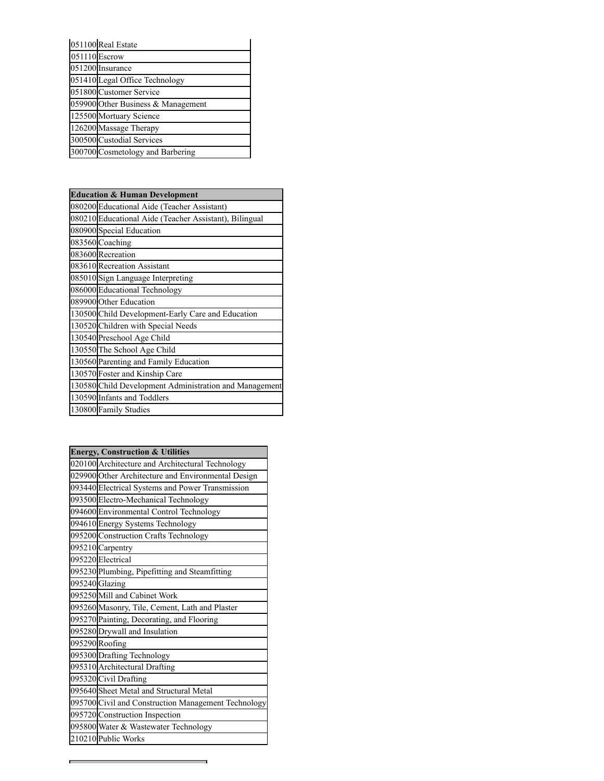|               | 051100 Real Estate                 |
|---------------|------------------------------------|
| 051110 Escrow |                                    |
|               | 051200 Insurance                   |
|               | 051410 Legal Office Technology     |
|               | 051800 Customer Service            |
|               | 059900 Other Business & Management |
|               | 125500 Mortuary Science            |
|               | 126200 Massage Therapy             |
|               | 300500 Custodial Services          |
|               | 300700 Cosmetology and Barbering   |

| <b>Education &amp; Human Development</b>               |  |
|--------------------------------------------------------|--|
| 080200 Educational Aide (Teacher Assistant)            |  |
| 080210 Educational Aide (Teacher Assistant), Bilingual |  |
| 080900 Special Education                               |  |
| 083560 Coaching                                        |  |
| 083600 Recreation                                      |  |
| 083610 Recreation Assistant                            |  |
| 085010 Sign Language Interpreting                      |  |
| 086000 Educational Technology                          |  |
| 089900 Other Education                                 |  |
| 130500 Child Development-Early Care and Education      |  |
| 130520 Children with Special Needs                     |  |
| 130540 Preschool Age Child                             |  |
| 130550 The School Age Child                            |  |
| 130560 Parenting and Family Education                  |  |
| 130570 Foster and Kinship Care                         |  |
| 130580 Child Development Administration and Management |  |
| 130590 Infants and Toddlers                            |  |
| 130800 Family Studies                                  |  |

|  | <b>Energy, Construction &amp; Utilities</b>         |
|--|-----------------------------------------------------|
|  | 020100 Architecture and Architectural Technology    |
|  | 029900 Other Architecture and Environmental Design  |
|  | 093440 Electrical Systems and Power Transmission    |
|  | 093500 Electro-Mechanical Technology                |
|  | 094600 Environmental Control Technology             |
|  | 094610 Energy Systems Technology                    |
|  | 095200 Construction Crafts Technology               |
|  | 095210 Carpentry                                    |
|  | 095220 Electrical                                   |
|  | 095230 Plumbing, Pipefitting and Steamfitting       |
|  | 095240 Glazing                                      |
|  | 095250 Mill and Cabinet Work                        |
|  | 095260 Masonry, Tile, Cement, Lath and Plaster      |
|  | 095270 Painting, Decorating, and Flooring           |
|  | 095280 Drywall and Insulation                       |
|  | 095290 Roofing                                      |
|  | 095300 Drafting Technology                          |
|  | 095310 Architectural Drafting                       |
|  | 095320 Civil Drafting                               |
|  | 095640 Sheet Metal and Structural Metal             |
|  | 095700 Civil and Construction Management Technology |
|  | 095720 Construction Inspection                      |
|  | 095800 Water & Wastewater Technology                |
|  | 210210 Public Works                                 |
|  |                                                     |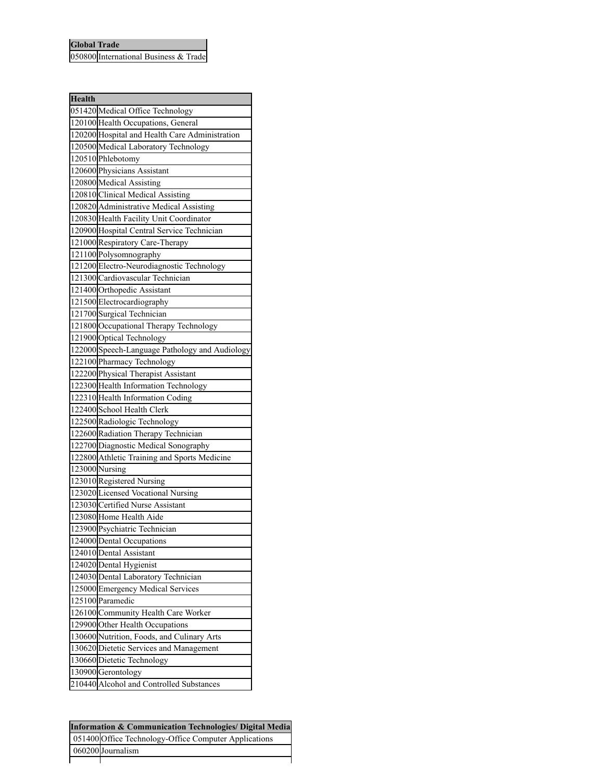## **Global Trade**

International Business & Trade

| <b>Health</b> |                                                |
|---------------|------------------------------------------------|
|               | 051420 Medical Office Technology               |
|               | 120100 Health Occupations, General             |
|               | 120200 Hospital and Health Care Administration |
|               | 120500 Medical Laboratory Technology           |
|               | 120510 Phlebotomy                              |
|               | 120600 Physicians Assistant                    |
|               | 120800 Medical Assisting                       |
|               | 120810 Clinical Medical Assisting              |
|               | 120820 Administrative Medical Assisting        |
|               | 120830 Health Facility Unit Coordinator        |
|               | 120900 Hospital Central Service Technician     |
|               | 121000 Respiratory Care-Therapy                |
|               | 121100 Polysomnography                         |
|               | 121200 Electro-Neurodiagnostic Technology      |
|               | 121300 Cardiovascular Technician               |
|               | 121400 Orthopedic Assistant                    |
|               | 121500 Electrocardiography                     |
|               | 121700 Surgical Technician                     |
|               | 121800 Occupational Therapy Technology         |
|               | 121900 Optical Technology                      |
|               | 122000 Speech-Language Pathology and Audiology |
|               | 122100 Pharmacy Technology                     |
|               | 122200 Physical Therapist Assistant            |
|               | 122300 Health Information Technology           |
|               | 122310 Health Information Coding               |
|               | 122400 School Health Clerk                     |
|               | 122500 Radiologic Technology                   |
|               | 122600 Radiation Therapy Technician            |
|               | 122700 Diagnostic Medical Sonography           |
|               | 122800 Athletic Training and Sports Medicine   |
|               | 123000 Nursing                                 |
|               | 123010 Registered Nursing                      |
|               | 123020 Licensed Vocational Nursing             |
|               | 123030 Certified Nurse Assistant               |
|               | 123080 Home Health Aide                        |
|               | 123900 Psychiatric Technician                  |
|               | 124000 Dental Occupations                      |
|               | 124010 Dental Assistant                        |
|               | 124020 Dental Hygienist                        |
|               | 124030 Dental Laboratory Technician            |
|               | 125000 Emergency Medical Services              |
|               | 125100 Paramedic                               |
|               | 126100 Community Health Care Worker            |
|               | 129900 Other Health Occupations                |
|               | 130600 Nutrition, Foods, and Culinary Arts     |
|               | 130620 Dietetic Services and Management        |
|               | 130660 Dietetic Technology                     |
|               | 130900 Gerontology                             |
|               | 210440 Alcohol and Controlled Substances       |
|               |                                                |

| <b>Information &amp; Communication Technologies/ Digital Media</b> |                                                       |
|--------------------------------------------------------------------|-------------------------------------------------------|
|                                                                    | 051400 Office Technology-Office Computer Applications |
|                                                                    | 060200 Journalism                                     |
|                                                                    |                                                       |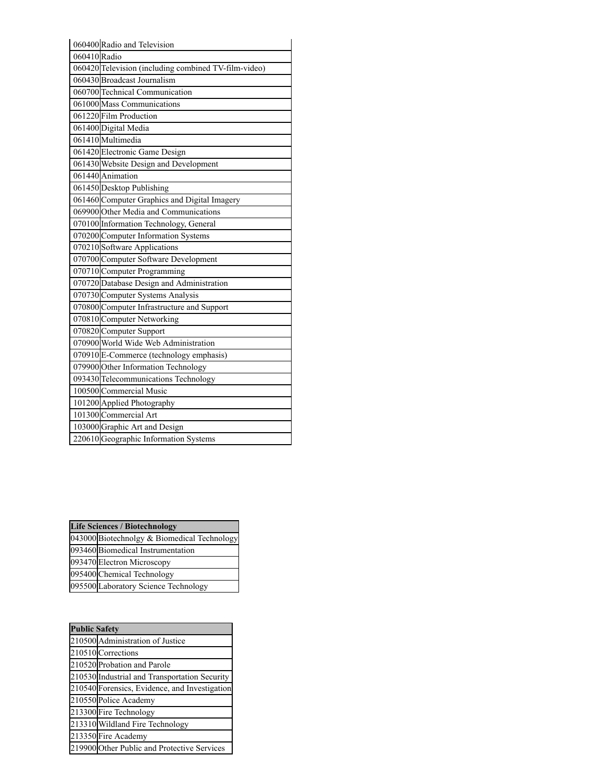|              | 060400 Radio and Television                          |
|--------------|------------------------------------------------------|
| 060410 Radio |                                                      |
|              | 060420 Television (including combined TV-film-video) |
|              | 060430 Broadcast Journalism                          |
|              | 060700 Technical Communication                       |
|              | 061000 Mass Communications                           |
|              | 061220 Film Production                               |
|              | 061400 Digital Media                                 |
|              | 061410 Multimedia                                    |
|              | 061420 Electronic Game Design                        |
|              | 061430 Website Design and Development                |
|              | 061440 Animation                                     |
|              | 061450 Desktop Publishing                            |
|              | 061460 Computer Graphics and Digital Imagery         |
|              | 069900 Other Media and Communications                |
|              | 070100 Information Technology, General               |
|              | 070200 Computer Information Systems                  |
|              | 070210 Software Applications                         |
|              | 070700 Computer Software Development                 |
|              | 070710 Computer Programming                          |
|              | 070720 Database Design and Administration            |
|              | 070730 Computer Systems Analysis                     |
|              | 070800 Computer Infrastructure and Support           |
|              | 070810 Computer Networking                           |
|              | 070820 Computer Support                              |
|              | 070900 World Wide Web Administration                 |
|              | 070910 E-Commerce (technology emphasis)              |
|              | 079900 Other Information Technology                  |
|              | 093430 Telecommunications Technology                 |
|              | 100500 Commercial Music                              |
|              | 101200 Applied Photography                           |
|              | 101300 Commercial Art                                |
|              | 103000 Graphic Art and Design                        |
|              | 220610 Geographic Information Systems                |

| <b>Life Sciences / Biotechnology</b> |                                             |
|--------------------------------------|---------------------------------------------|
|                                      | 043000 Biotechnolgy & Biomedical Technology |
|                                      | 093460 Biomedical Instrumentation           |
|                                      | 093470 Electron Microscopy                  |
|                                      | 095400 Chemical Technology                  |
|                                      | 095500 Laboratory Science Technology        |

| <b>Public Safety</b> |                                               |
|----------------------|-----------------------------------------------|
|                      | 210500 Administration of Justice              |
|                      | 210510 Corrections                            |
|                      | 210520 Probation and Parole                   |
|                      | 210530 Industrial and Transportation Security |
|                      | 210540 Forensics, Evidence, and Investigation |
|                      | 210550 Police Academy                         |
|                      | 213300 Fire Technology                        |
|                      | 213310 Wildland Fire Technology               |
|                      | 213350 Fire Academy                           |
|                      | 219900 Other Public and Protective Services   |